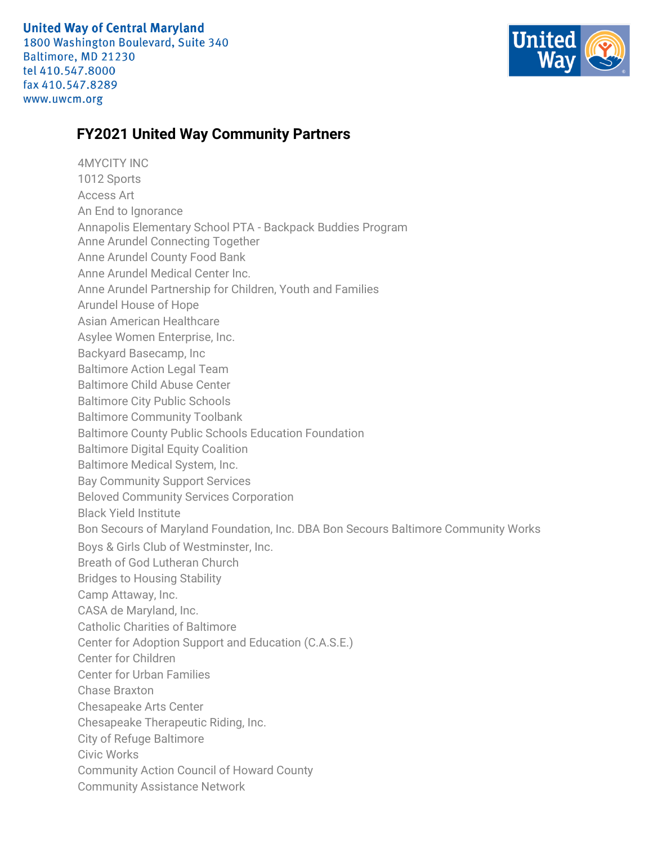**United Way of Central Maryland** 

1800 Washington Boulevard, Suite 340 Baltimore, MD 21230 tel 410.547.8000 fax 410.547.8289 www.uwcm.org



## **FY2021 United Way Community Partners**

4MYCITY INC 1012 Sports Access Art An End to Ignorance Annapolis Elementary School PTA - Backpack Buddies Program Anne Arundel Connecting Together Anne Arundel County Food Bank Anne Arundel Medical Center Inc. Anne Arundel Partnership for Children, Youth and Families Arundel House of Hope Asian American Healthcare Asylee Women Enterprise, Inc. Backyard Basecamp, Inc Baltimore Action Legal Team Baltimore Child Abuse Center Baltimore City Public Schools Baltimore Community Toolbank Baltimore County Public Schools Education Foundation Baltimore Digital Equity Coalition Baltimore Medical System, Inc. Bay Community Support Services Beloved Community Services Corporation Black Yield Institute Bon Secours of Maryland Foundation, Inc. DBA Bon Secours Baltimore Community Works Boys & Girls Club of Westminster, Inc. Breath of God Lutheran Church Bridges to Housing Stability Camp Attaway, Inc. CASA de Maryland, Inc. Catholic Charities of Baltimore Center for Adoption Support and Education (C.A.S.E.) Center for Children Center for Urban Families Chase Braxton Chesapeake Arts Center Chesapeake Therapeutic Riding, Inc. City of Refuge Baltimore Civic Works Community Action Council of Howard County Community Assistance Network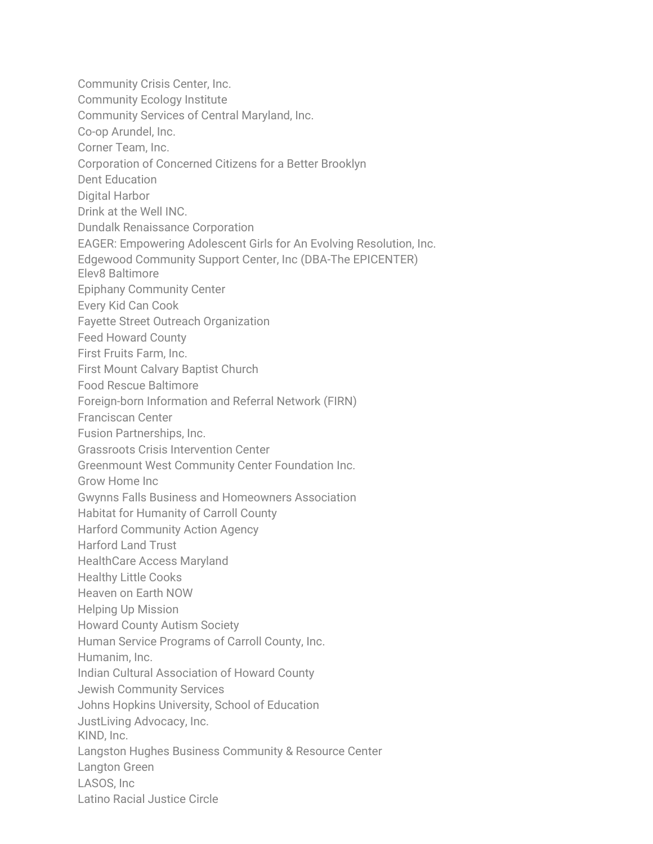Community Crisis Center, Inc. Community Ecology Institute Community Services of Central Maryland, Inc. Co-op Arundel, Inc. Corner Team, Inc. Corporation of Concerned Citizens for a Better Brooklyn Dent Education Digital Harbor Drink at the Well INC. Dundalk Renaissance Corporation EAGER: Empowering Adolescent Girls for An Evolving Resolution, Inc. Edgewood Community Support Center, Inc (DBA-The EPICENTER) Elev8 Baltimore Epiphany Community Center Every Kid Can Cook Fayette Street Outreach Organization Feed Howard County First Fruits Farm, Inc. First Mount Calvary Baptist Church Food Rescue Baltimore Foreign-born Information and Referral Network (FIRN) Franciscan Center Fusion Partnerships, Inc. Grassroots Crisis Intervention Center Greenmount West Community Center Foundation Inc. Grow Home Inc Gwynns Falls Business and Homeowners Association Habitat for Humanity of Carroll County Harford Community Action Agency Harford Land Trust HealthCare Access Maryland Healthy Little Cooks Heaven on Earth NOW Helping Up Mission Howard County Autism Society Human Service Programs of Carroll County, Inc. Humanim, Inc. Indian Cultural Association of Howard County Jewish Community Services Johns Hopkins University, School of Education JustLiving Advocacy, Inc. KIND, Inc. Langston Hughes Business Community & Resource Center Langton Green LASOS, Inc Latino Racial Justice Circle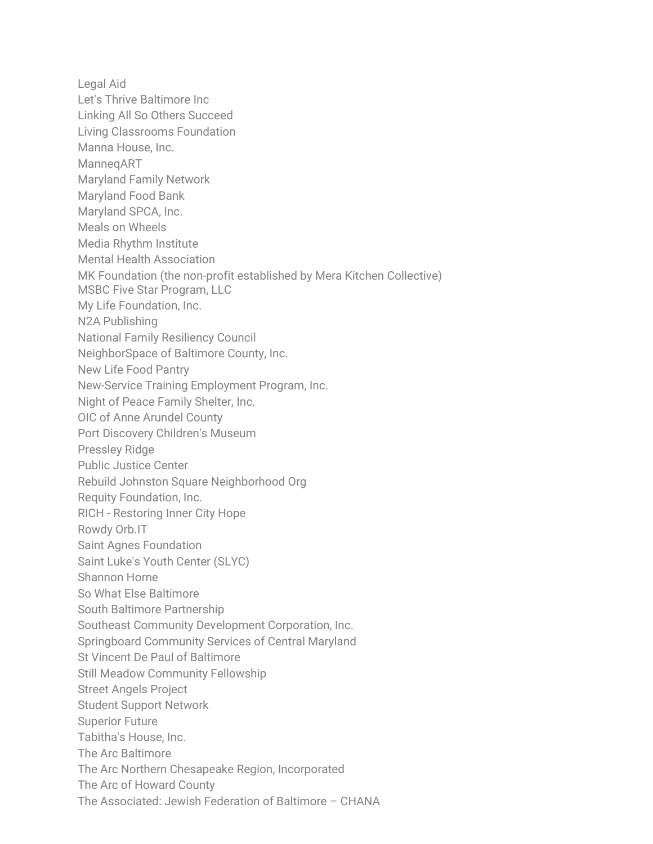Legal Aid Let's Thrive Baltimore Inc Linking All So Others Succeed Living Classrooms Foundation Manna House, Inc. ManneqART Maryland Family Network Maryland Food Bank Maryland SPCA, Inc. Meals on Wheels Media Rhythm Institute Mental Health Association MK Foundation (the non-profit established by Mera Kitchen Collective) MSBC Five Star Program, LLC My Life Foundation, Inc. N2A Publishing National Family Resiliency Council NeighborSpace of Baltimore County, Inc. New Life Food Pantry New-Service Training Employment Program, Inc. Night of Peace Family Shelter, Inc. OIC of Anne Arundel County Port Discovery Children's Museum Pressley Ridge Public Justice Center Rebuild Johnston Square Neighborhood Org Requity Foundation, Inc. RICH - Restoring Inner City Hope Rowdy Orb.IT Saint Agnes Foundation Saint Luke's Youth Center (SLYC) Shannon Horne So What Else Baltimore South Baltimore Partnership Southeast Community Development Corporation, Inc. Springboard Community Services of Central Maryland St Vincent De Paul of Baltimore Still Meadow Community Fellowship Street Angels Project Student Support Network Superior Future Tabitha's House, Inc. The Arc Baltimore The Arc Northern Chesapeake Region, Incorporated The Arc of Howard County The Associated: Jewish Federation of Baltimore – CHANA